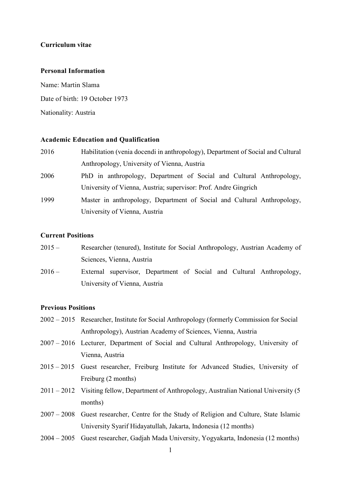## **Curriculum vitae**

#### **Personal Information**

Name: Martin Slama Date of birth: 19 October 1973 Nationality: Austria

#### **Academic Education and Qualification**

| 2016 | Habilitation (venia docendi in anthropology), Department of Social and Cultural |
|------|---------------------------------------------------------------------------------|
|      | Anthropology, University of Vienna, Austria                                     |
| 2006 | PhD in anthropology, Department of Social and Cultural Anthropology,            |
|      | University of Vienna, Austria; supervisor: Prof. Andre Gingrich                 |
| 1999 | Master in anthropology, Department of Social and Cultural Anthropology,         |
|      | University of Vienna, Austria                                                   |

### **Current Positions**

- 2015 Researcher (tenured), Institute for Social Anthropology, Austrian Academy of Sciences, Vienna, Austria
- 2016 External supervisor, Department of Social and Cultural Anthropology, University of Vienna, Austria

# **Previous Positions**

- 2002 2015 Researcher, Institute for Social Anthropology (formerly Commission for Social Anthropology), Austrian Academy of Sciences, Vienna, Austria
- 2007 2016 Lecturer, Department of Social and Cultural Anthropology, University of Vienna, Austria
- 2015 2015 Guest researcher, Freiburg Institute for Advanced Studies, University of Freiburg (2 months)
- 2011 2012 Visiting fellow, Department of Anthropology, Australian National University (5 months)
- 2007 2008 Guest researcher, Centre for the Study of Religion and Culture, State Islamic University Syarif Hidayatullah, Jakarta, Indonesia (12 months)
- 2004 2005 Guest researcher, Gadjah Mada University, Yogyakarta, Indonesia (12 months)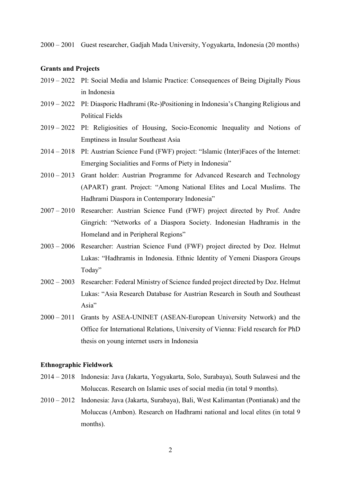2000 – 2001 Guest researcher, Gadjah Mada University, Yogyakarta, Indonesia (20 months)

#### **Grants and Projects**

- 2019 2022 PI: Social Media and Islamic Practice: Consequences of Being Digitally Pious in Indonesia
- 2019 2022 PI: Diasporic Hadhrami (Re-)Positioning in Indonesia's Changing Religious and Political Fields
- 2019 2022 PI: Religiosities of Housing, Socio-Economic Inequality and Notions of Emptiness in Insular Southeast Asia
- 2014 2018 PI: Austrian Science Fund (FWF) project: "Islamic (Inter)Faces of the Internet: Emerging Socialities and Forms of Piety in Indonesia"
- 2010 2013 Grant holder: Austrian Programme for Advanced Research and Technology (APART) grant. Project: "Among National Elites and Local Muslims. The Hadhrami Diaspora in Contemporary Indonesia"
- 2007 2010 Researcher: Austrian Science Fund (FWF) project directed by Prof. Andre Gingrich: "Networks of a Diaspora Society. Indonesian Hadhramis in the Homeland and in Peripheral Regions"
- 2003 2006 Researcher: Austrian Science Fund (FWF) project directed by Doz. Helmut Lukas: "Hadhramis in Indonesia. Ethnic Identity of Yemeni Diaspora Groups Today"
- 2002 2003 Researcher: Federal Ministry of Science funded project directed by Doz. Helmut Lukas: "Asia Research Database for Austrian Research in South and Southeast Asia"
- 2000 2011 Grants by ASEA-UNINET (ASEAN-European University Network) and the Office for International Relations, University of Vienna: Field research for PhD thesis on young internet users in Indonesia

#### **Ethnographic Fieldwork**

- 2014 2018 Indonesia: Java (Jakarta, Yogyakarta, Solo, Surabaya), South Sulawesi and the Moluccas. Research on Islamic uses of social media (in total 9 months).
- 2010 2012 Indonesia: Java (Jakarta, Surabaya), Bali, West Kalimantan (Pontianak) and the Moluccas (Ambon). Research on Hadhrami national and local elites (in total 9 months).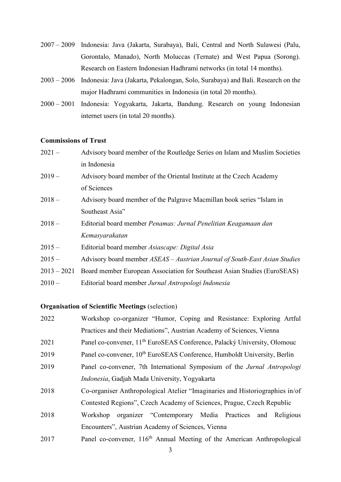- 2007 2009 Indonesia: Java (Jakarta, Surabaya), Bali, Central and North Sulawesi (Palu, Gorontalo, Manado), North Moluccas (Ternate) and West Papua (Sorong). Research on Eastern Indonesian Hadhrami networks (in total 14 months).
- 2003 2006 Indonesia: Java (Jakarta, Pekalongan, Solo, Surabaya) and Bali. Research on the major Hadhrami communities in Indonesia (in total 20 months).
- 2000 2001 Indonesia: Yogyakarta, Jakarta, Bandung. Research on young Indonesian internet users (in total 20 months).

## **Commissions of Trust**

- 2021 Advisory board member of the Routledge Series on Islam and Muslim Societies in Indonesia
- 2019 Advisory board member of the Oriental Institute at the Czech Academy of Sciences
- 2018 Advisory board member of the Palgrave Macmillan book series "Islam in Southeast Asia"
- 2018 Editorial board member *Penamas: Jurnal Penelitian Keagamaan dan Kemasyarakatan*
- 2015 Editorial board member *Asiascape: Digital Asia*
- 2015 Advisory board member *ASEAS – Austrian Journal of South-East Asian Studies*
- 2013 2021 Board member European Association for Southeast Asian Studies (EuroSEAS)
- 2010 Editorial board member *Jurnal Antropologi Indonesia*

# **Organisation of Scientific Meetings** (selection)

| 2022 | Workshop co-organizer "Humor, Coping and Resistance: Exploring Artful                |
|------|--------------------------------------------------------------------------------------|
|      | Practices and their Mediations", Austrian Academy of Sciences, Vienna                |
| 2021 | Panel co-convener, 11 <sup>th</sup> EuroSEAS Conference, Palacký University, Olomouc |
| 2019 | Panel co-convener, 10 <sup>th</sup> EuroSEAS Conference, Humboldt University, Berlin |
| 2019 | Panel co-convener, 7th International Symposium of the Jurnal Antropologi             |
|      | Indonesia, Gadjah Mada University, Yogyakarta                                        |
| 2018 | Co-organiser Anthropological Atelier "Imaginaries and Historiographies in/of         |
|      | Contested Regions", Czech Academy of Sciences, Prague, Czech Republic                |
| 2018 | organizer "Contemporary Media Practices<br>and Religious<br>Workshop                 |
|      | Encounters", Austrian Academy of Sciences, Vienna                                    |
| 2017 | Panel co-convener, 116 <sup>th</sup> Annual Meeting of the American Anthropological  |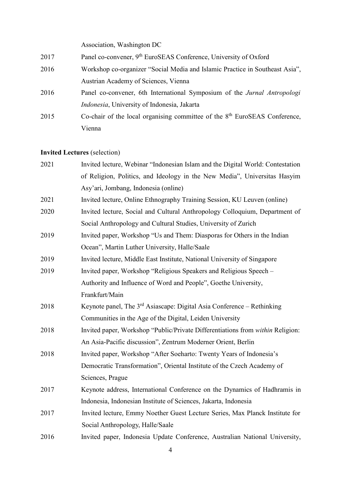Association, Washington DC

| 2017 | Panel co-convener, 9 <sup>th</sup> EuroSEAS Conference, University of Oxford |
|------|------------------------------------------------------------------------------|
| 2016 | Workshop co-organizer "Social Media and Islamic Practice in Southeast Asia", |

- Austrian Academy of Sciences, Vienna
- 2016 Panel co-convener, 6th International Symposium of the *Jurnal Antropologi Indonesia*, University of Indonesia, Jakarta
- 2015 Co-chair of the local organising committee of the 8<sup>th</sup> EuroSEAS Conference, Vienna

## **Invited Lectures** (selection)

| Invited lecture, Webinar "Indonesian Islam and the Digital World: Contestation     |
|------------------------------------------------------------------------------------|
| of Religion, Politics, and Ideology in the New Media", Universitas Hasyim          |
| Asy'ari, Jombang, Indonesia (online)                                               |
| Invited lecture, Online Ethnography Training Session, KU Leuven (online)           |
| Invited lecture, Social and Cultural Anthropology Colloquium, Department of        |
| Social Anthropology and Cultural Studies, University of Zurich                     |
| Invited paper, Workshop "Us and Them: Diasporas for Others in the Indian           |
| Ocean", Martin Luther University, Halle/Saale                                      |
| Invited lecture, Middle East Institute, National University of Singapore           |
| Invited paper, Workshop "Religious Speakers and Religious Speech -                 |
| Authority and Influence of Word and People", Goethe University,                    |
| Frankfurt/Main                                                                     |
| Keynote panel, The 3 <sup>rd</sup> Asiascape: Digital Asia Conference – Rethinking |
| Communities in the Age of the Digital, Leiden University                           |
| Invited paper, Workshop "Public/Private Differentiations from within Religion:     |
| An Asia-Pacific discussion", Zentrum Moderner Orient, Berlin                       |
| Invited paper, Workshop "After Soeharto: Twenty Years of Indonesia's               |
| Democratic Transformation", Oriental Institute of the Czech Academy of             |
| Sciences, Prague                                                                   |
| Keynote address, International Conference on the Dynamics of Hadhramis in          |
| Indonesia, Indonesian Institute of Sciences, Jakarta, Indonesia                    |
| Invited lecture, Emmy Noether Guest Lecture Series, Max Planck Institute for       |
| Social Anthropology, Halle/Saale                                                   |
| Invited paper, Indonesia Update Conference, Australian National University,        |
|                                                                                    |